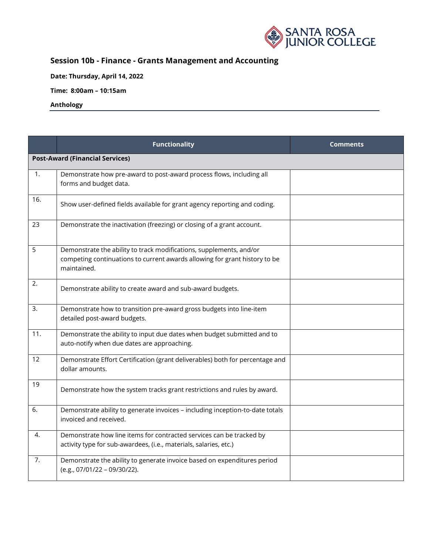

**Date: Thursday, April 14, 2022**

**Time: 8:00am – 10:15am** 

|     | <b>Functionality</b>                                                                                                                                             | <b>Comments</b> |
|-----|------------------------------------------------------------------------------------------------------------------------------------------------------------------|-----------------|
|     | <b>Post-Award (Financial Services)</b>                                                                                                                           |                 |
| 1.  | Demonstrate how pre-award to post-award process flows, including all<br>forms and budget data.                                                                   |                 |
| 16. | Show user-defined fields available for grant agency reporting and coding.                                                                                        |                 |
| 23  | Demonstrate the inactivation (freezing) or closing of a grant account.                                                                                           |                 |
| 5   | Demonstrate the ability to track modifications, supplements, and/or<br>competing continuations to current awards allowing for grant history to be<br>maintained. |                 |
| 2.  | Demonstrate ability to create award and sub-award budgets.                                                                                                       |                 |
| 3.  | Demonstrate how to transition pre-award gross budgets into line-item<br>detailed post-award budgets.                                                             |                 |
| 11. | Demonstrate the ability to input due dates when budget submitted and to<br>auto-notify when due dates are approaching.                                           |                 |
| 12  | Demonstrate Effort Certification (grant deliverables) both for percentage and<br>dollar amounts.                                                                 |                 |
| 19  | Demonstrate how the system tracks grant restrictions and rules by award.                                                                                         |                 |
| 6.  | Demonstrate ability to generate invoices - including inception-to-date totals<br>invoiced and received.                                                          |                 |
| 4.  | Demonstrate how line items for contracted services can be tracked by<br>activity type for sub-awardees, (i.e., materials, salaries, etc.)                        |                 |
| 7.  | Demonstrate the ability to generate invoice based on expenditures period<br>(e.g., 07/01/22 - 09/30/22).                                                         |                 |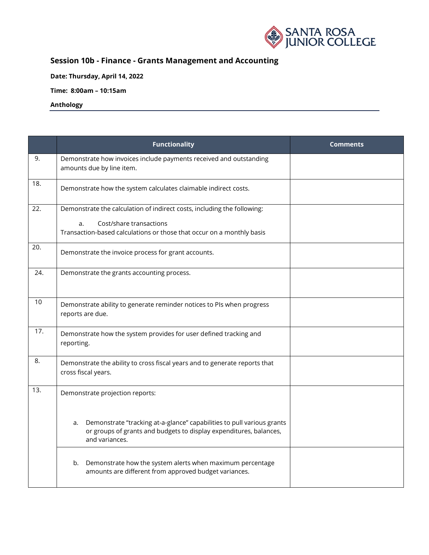

**Date: Thursday, April 14, 2022**

**Time: 8:00am – 10:15am** 

|     | <b>Functionality</b>                                                                                                                                                              | <b>Comments</b> |
|-----|-----------------------------------------------------------------------------------------------------------------------------------------------------------------------------------|-----------------|
| 9.  | Demonstrate how invoices include payments received and outstanding<br>amounts due by line item.                                                                                   |                 |
| 18. | Demonstrate how the system calculates claimable indirect costs.                                                                                                                   |                 |
| 22. | Demonstrate the calculation of indirect costs, including the following:<br>Cost/share transactions<br>a.<br>Transaction-based calculations or those that occur on a monthly basis |                 |
| 20. | Demonstrate the invoice process for grant accounts.                                                                                                                               |                 |
| 24. | Demonstrate the grants accounting process.                                                                                                                                        |                 |
| 10  | Demonstrate ability to generate reminder notices to PIs when progress<br>reports are due.                                                                                         |                 |
| 17. | Demonstrate how the system provides for user defined tracking and<br>reporting.                                                                                                   |                 |
| 8.  | Demonstrate the ability to cross fiscal years and to generate reports that<br>cross fiscal years.                                                                                 |                 |
| 13. | Demonstrate projection reports:                                                                                                                                                   |                 |
|     | Demonstrate "tracking at-a-glance" capabilities to pull various grants<br>a.<br>or groups of grants and budgets to display expenditures, balances,<br>and variances.              |                 |
|     | Demonstrate how the system alerts when maximum percentage<br>b.<br>amounts are different from approved budget variances.                                                          |                 |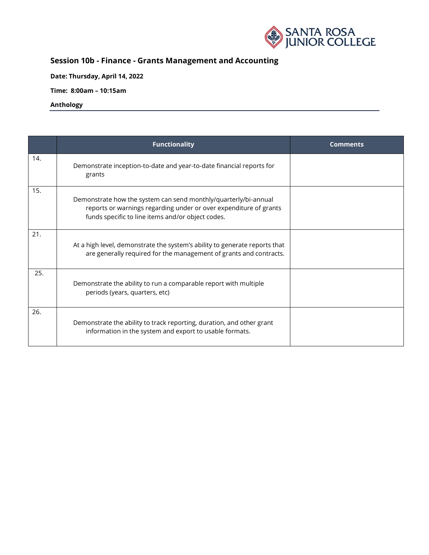

**Date: Thursday, April 14, 2022**

**Time: 8:00am – 10:15am** 

|     | <b>Functionality</b>                                                                                                                                                                      | <b>Comments</b> |
|-----|-------------------------------------------------------------------------------------------------------------------------------------------------------------------------------------------|-----------------|
| 14. | Demonstrate inception-to-date and year-to-date financial reports for<br>grants                                                                                                            |                 |
| 15. | Demonstrate how the system can send monthly/quarterly/bi-annual<br>reports or warnings regarding under or over expenditure of grants<br>funds specific to line items and/or object codes. |                 |
| 21. | At a high level, demonstrate the system's ability to generate reports that<br>are generally required for the management of grants and contracts.                                          |                 |
| 25. | Demonstrate the ability to run a comparable report with multiple<br>periods (years, quarters, etc)                                                                                        |                 |
| 26. | Demonstrate the ability to track reporting, duration, and other grant<br>information in the system and export to usable formats.                                                          |                 |